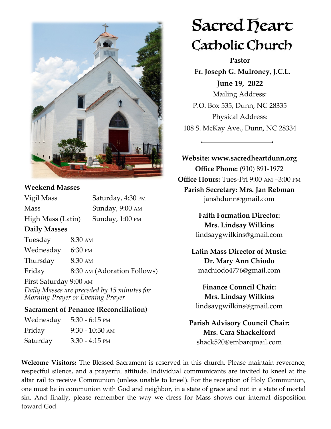

## **Weekend Masses**

| Vigil Mass          |                   | Saturday, 4:30 PM           |
|---------------------|-------------------|-----------------------------|
| <b>Mass</b>         |                   | Sunday, 9:00 AM             |
| High Mass (Latin)   |                   | Sunday, 1:00 PM             |
| <b>Daily Masses</b> |                   |                             |
| Tuesday             | $8:30 \text{ AM}$ |                             |
| Wednesday           | 6:30 PM           |                             |
| Thursday            | $8:30 \text{ AM}$ |                             |
| Friday              |                   | 8:30 AM (Adoration Follows) |
|                     |                   |                             |

First Saturday 9:00 AM *Daily Masses are preceded by 15 minutes for Morning Prayer or Evening Prayer*

### **Sacrament of Penance (Reconciliation)**

| Wednesday | $5:30 - 6:15$ PM  |
|-----------|-------------------|
| Friday    | $9:30 - 10:30$ AM |
| Saturday  | $3:30 - 4:15$ PM  |

# Sacred Deart Catholic Church

**Pastor**

 **Fr. Joseph G. Mulroney, J.C.L. June 19, 2022** Mailing Address: P.O. Box 535, Dunn, NC 28335 Physical Address: 108 S. McKay Ave., Dunn, NC 28334

**Website: www.sacredheartdunn.org Office Phone:** (910) 891-1972 **Office Hours:** Tues-Fri 9:00 AM –3:00 PM **Parish Secretary: Mrs. Jan Rebman**  janshdunn@gmail.com

> **Faith Formation Director: Mrs. Lindsay Wilkins** lindsaygwilkins@gmail.com

 **Latin Mass Director of Music: Dr. Mary Ann Chiodo** machiodo4776@gmail.com

**Finance Council Chair: Mrs. Lindsay Wilkins** lindsaygwilkins@gmail.com

**Parish Advisory Council Chair: Mrs. Cara Shackelford** shack520@embarqmail.com

**Welcome Visitors:** The Blessed Sacrament is reserved in this church. Please maintain reverence, respectful silence, and a prayerful attitude. Individual communicants are invited to kneel at the altar rail to receive Communion (unless unable to kneel). For the reception of Holy Communion, one must be in communion with God and neighbor, in a state of grace and not in a state of mortal sin. And finally, please remember the way we dress for Mass shows our internal disposition toward God.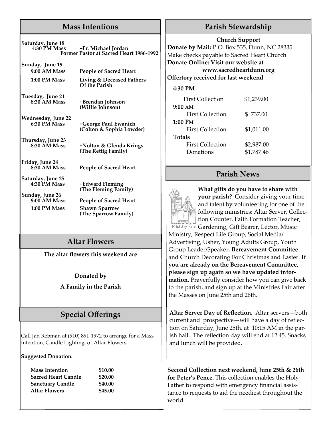## **Mass Intentions**

**Saturday, June 18 4:30 PM Mass +Fr. Michael Jordan Former Pastor at Sacred Heart 1986-1992**

**Sunday, June 19**

**9:00 AM Mass People of Sacred Heart 1:00 PM Mass Living & Deceased Fathers Of the Parish**

> **8:30 AM Mass +Brendan Johnson (Willie Johnson)**

**Tuesday, June 21**

**Wednesday, June 22**

**Thursday, June 23**

**Friday, June 24**

**Saturday, June 25**

**Sunday, June 26**

**People of Sacred Heart** 

**8:30 AM Mass +Nolton & Glenda Krings (The Rettig Family)**

**6:30 PM Mass +George Paul Ewanich (Colton & Sophia Lowder)**

**4:30 PM Mass +Edward Fleming (The Fleming Family)**

**People of Sacred Heart 1:00 PM Mass Shawn Sparrow (The Sparrow Family)**

# **Altar Flowers**

**The altar flowers this weekend are** 

**Donated by**

**A Family in the Parish**

# **Special Offerings**

Call Jan Rebman at (910) 891-1972 to arrange for a Mass Intention, Candle Lighting, or Altar Flowers.

**Suggested Donation:**

| <b>Mass Intention</b> |
|-----------------------|
| Sacred Heart Candle   |
| Sanctuary Candle      |
| Altar Flowers         |
|                       |

**Mass Intention \$10.00 Sacred Heart Candle \$20.00 Sanctuary Candle \$40.00 Altar Flowers \$45.00**

# **Parish Stewardship**

#### **Church Support**

**Donate by Mail:** P.O. Box 535, Dunn, NC 28335 Make checks payable to Sacred Heart Church **Donate Online: Visit our website at www.sacredheartdunn.org**

**Offertory received for last weekend**

#### **4:30 PM**

| <b>First Collection</b> | \$1,239.00 |  |
|-------------------------|------------|--|
| $9:00 \text{ AM}$       |            |  |
| First Collection        | \$737.00   |  |
| 1:00 PM                 |            |  |
| First Collection        | \$1,011.00 |  |
| <b>Totals</b>           |            |  |
| <b>First Collection</b> | \$2,987.00 |  |
| Donations               | \$1,787.46 |  |

## **Parish News**



**What gifts do you have to share with your parish?** Consider giving your time and talent by volunteering for one of the following ministries: Altar Server, Collection Counter, Faith Formation Teacher, Ministry Fair, Gardening, Gift Bearer, Lector, Music Ministry, Respect Life Group, Social Media/ Advertising, Usher, Young Adults Group, Youth Group Leader/Speaker, **Bereavement Committee**  and Church Decorating For Christmas and Easter. **If you are already on the Bereavement Committee, please sign up again so we have updated information.** Prayerfully consider how you can give back to the parish, and sign up at the Ministries Fair after

**Altar Server Day of Reflection.** Altar servers—both current and prospective—will have a day of reflection on Saturday, June 25th, at 10:15 AM in the parish hall. The reflection day will end at 12:45. Snacks and lunch will be provided.

the Masses on June 25th and 26th.

**Second Collection next weekend, June 25th & 26th for Peter's Pence.** This collection enables the Holy Father to respond with emergency financial assistance to requests to aid the neediest throughout the world.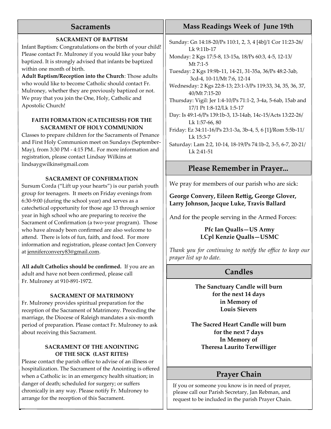## **Sacraments**

#### **SACRAMENT OF BAPTISM**

Infant Baptism: Congratulations on the birth of your child! Please contact Fr. Mulroney if you would like your baby baptized. It is strongly advised that infants be baptized within one month of birth.

**Adult Baptism/Reception into the Church**: Those adults who would like to become Catholic should contact Fr. Mulroney, whether they are previously baptized or not. We pray that you join the One, Holy, Catholic and Apostolic Church!

#### **FAITH FORMATION (CATECHESIS) FOR THE SACRAMENT OF HOLY COMMUNION**

Classes to prepare children for the Sacraments of Penance and First Holy Communion meet on Sundays (September-May), from 3:30 PM - 4:15 PM.. For more information and registration, please contact Lindsay Wilkins at lindsaygwilkins@gmail.com

#### **SACRAMENT OF CONFIRMATION**

Sursum Corda ("Lift up your hearts") is our parish youth group for teenagers. It meets on Friday evenings from 6:30-9:00 (during the school year) and serves as a catechetical opportunity for those age 13 through senior year in high school who are preparing to receive the Sacrament of Confirmation (a two-year program). Those who have already been confirmed are also welcome to attend. There is lots of fun, faith, and food. For more information and registration, please contact Jen Convery at [jenniferconvery83@gmail.com.](mailto:jenniferconvery83@gmail.com)

**All adult Catholics should be confirmed.** If you are an adult and have not been confirmed, please call Fr. Mulroney at 910-891-1972.

#### **SACRAMENT OF MATRIMONY**

Fr. Mulroney provides spiritual preparation for the reception of the Sacrament of Matrimony. Preceding the marriage, the Diocese of Raleigh mandates a six-month period of preparation. Please contact Fr. Mulroney to ask about receiving this Sacrament.

#### **SACRAMENT OF THE ANOINTING OF THE SICK (LAST RITES)**

Please contact the parish office to advise of an illness or hospitalization. The Sacrament of the Anointing is offered when a Catholic is: in an emergency health situation; in danger of death; scheduled for surgery; or suffers chronically in any way. Please notify Fr. Mulroney to arrange for the reception of this Sacrament.

# **Mass Readings Week of June 19th**

Sunday: Gn 14:18-20/Ps 110:1, 2, 3, 4 [4b]/1 Cor 11:23-26/ Lk 9:11b-17

Monday: 2 Kgs 17:5-8, 13-15a, 18/Ps 60:3, 4-5, 12-13/ Mt 7:1-5

Tuesday: 2 Kgs 19:9b-11, 14-21, 31-35a, 36/Ps 48:2-3ab, 3cd-4, 10-11/Mt 7:6, 12-14

Wednesday: 2 Kgs 22:8-13; 23:1-3/Ps 119:33, 34, 35, 36, 37, 40/Mt 7:15-20

Thursday: Vigil: Jer 1:4-10/Ps 71:1-2, 3-4a, 5-6ab, 15ab and 17/1 Pt 1:8-12/Lk 1:5-17

Day: Is 49:1-6/Ps 139:1b-3, 13-14ab, 14c-15/Acts 13:22-26/ Lk 1:57-66, 80

Friday: Ez 34:11-16/Ps 23:1-3a, 3b-4, 5, 6 [1]/Rom 5:5b-11/ Lk 15:3-7

Saturday: Lam 2:2, 10-14, 18-19/Ps 74:1b-2, 3-5, 6-7, 20-21/ Lk 2:41-51

## **Please Remember in Prayer...**

We pray for members of our parish who are sick:

**George Convery, Eileen Rettig, George Glover, Larry Johnson, Jacque Luke, Travis Ballard**

And for the people serving in the Armed Forces:

#### **Pfc Ian Qualls—US Army LCpl Kenzie Qualls—USMC**

*Thank you for continuing to notify the office to keep our prayer list up to date.*

# **Candles**

**The Sanctuary Candle will burn for the next 14 days in Memory of Louis Sievers**

**The Sacred Heart Candle will burn for the next 7 days In Memory of Theresa Laurito Terwilliger**

# **Prayer Chain**

If you or someone you know is in need of prayer, please call our Parish Secretary, Jan Rebman, and request to be included in the parish Prayer Chain.